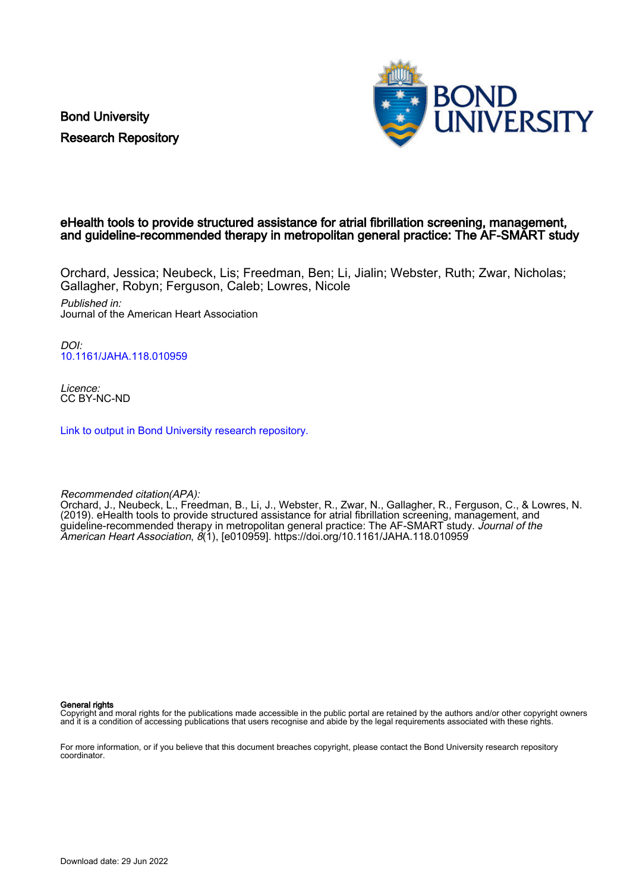Bond University Research Repository



# eHealth tools to provide structured assistance for atrial fibrillation screening, management, and guideline-recommended therapy in metropolitan general practice: The AF-SMART study

Orchard, Jessica; Neubeck, Lis; Freedman, Ben; Li, Jialin; Webster, Ruth; Zwar, Nicholas; Gallagher, Robyn; Ferguson, Caleb; Lowres, Nicole

Published in: Journal of the American Heart Association

DOI: [10.1161/JAHA.118.010959](https://doi.org/10.1161/JAHA.118.010959)

Licence: CC BY-NC-ND

[Link to output in Bond University research repository.](https://research.bond.edu.au/en/publications/e507022d-acb1-4f9b-b0e3-8d6de3ca1718)

Recommended citation(APA):

Orchard, J., Neubeck, L., Freedman, B., Li, J., Webster, R., Zwar, N., Gallagher, R., Ferguson, C., & Lowres, N. (2019). eHealth tools to provide structured assistance for atrial fibrillation screening, management, and guideline-recommended therapy in metropolitan general practice: The AF-SMART study. *Journal of the* American Heart Association, 8(1), [e010959].<https://doi.org/10.1161/JAHA.118.010959>

General rights

Copyright and moral rights for the publications made accessible in the public portal are retained by the authors and/or other copyright owners and it is a condition of accessing publications that users recognise and abide by the legal requirements associated with these rights.

For more information, or if you believe that this document breaches copyright, please contact the Bond University research repository coordinator.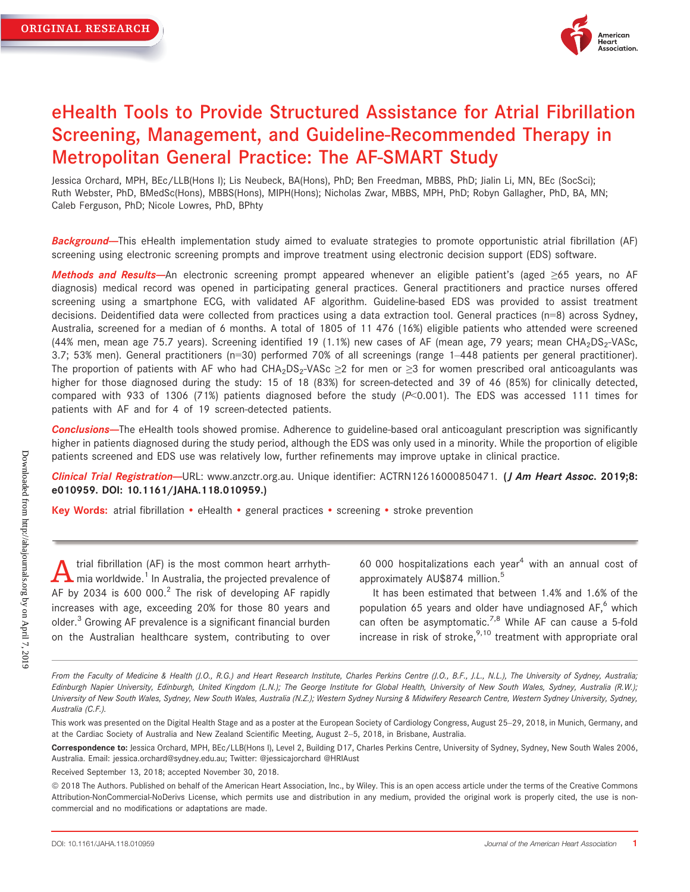

# eHealth Tools to Provide Structured Assistance for Atrial Fibrillation Screening, Management, and Guideline-Recommended Therapy in Metropolitan General Practice: The AF-SMART Study

Jessica Orchard, MPH, BEc/LLB(Hons I); Lis Neubeck, BA(Hons), PhD; Ben Freedman, MBBS, PhD; Jialin Li, MN, BEc (SocSci); Ruth Webster, PhD, BMedSc(Hons), MBBS(Hons), MIPH(Hons); Nicholas Zwar, MBBS, MPH, PhD; Robyn Gallagher, PhD, BA, MN; Caleb Ferguson, PhD; Nicole Lowres, PhD, BPhty

Background-This eHealth implementation study aimed to evaluate strategies to promote opportunistic atrial fibrillation (AF) screening using electronic screening prompts and improve treatment using electronic decision support (EDS) software.

Methods and Results—An electronic screening prompt appeared whenever an eligible patient's (aged ≥65 years, no AF diagnosis) medical record was opened in participating general practices. General practitioners and practice nurses offered screening using a smartphone ECG, with validated AF algorithm. Guideline-based EDS was provided to assist treatment decisions. Deidentified data were collected from practices using a data extraction tool. General practices (n=8) across Sydney, Australia, screened for a median of 6 months. A total of 1805 of 11 476 (16%) eligible patients who attended were screened (44% men, mean age 75.7 years). Screening identified 19 (1.1%) new cases of AF (mean age, 79 years; mean CHA<sub>2</sub>DS<sub>2</sub>-VASc, 3.7; 53% men). General practitioners (n=30) performed 70% of all screenings (range 1–448 patients per general practitioner). The proportion of patients with AF who had CHA<sub>2</sub>DS<sub>2</sub>-VASc  $\geq$ 2 for men or  $\geq$ 3 for women prescribed oral anticoagulants was higher for those diagnosed during the study: 15 of 18 (83%) for screen-detected and 39 of 46 (85%) for clinically detected, compared with 933 of 1306 (71%) patients diagnosed before the study ( $P<0.001$ ). The EDS was accessed 111 times for patients with AF and for 4 of 19 screen-detected patients.

**Conclusions**—The eHealth tools showed promise. Adherence to guideline-based oral anticoagulant prescription was significantly higher in patients diagnosed during the study period, although the EDS was only used in a minority. While the proportion of eligible patients screened and EDS use was relatively low, further refinements may improve uptake in clinical practice.

Clinical Trial Registration-URL: [www.anzctr.org.au](http://www.anzctr.org.au). Unique identifier: ACTRN12616000850471. (J Am Heart Assoc. 2019;8: e010959. DOI: [10.1161/JAHA.118.010959](info:doi/10.1161/JAHA.118.010959).)

Key Words: atrial fibrillation • eHealth • general practices • screening • stroke prevention

trial fibrillation (AF) is the most common heart arrhyth- $\sum$  mia worldwide.<sup>1</sup> In Australia, the projected prevalence of AF by 2034 is 600 000. $^2$  The risk of developing AF rapidly increases with age, exceeding 20% for those 80 years and older.<sup>3</sup> Growing AF prevalence is a significant financial burden on the Australian healthcare system, contributing to over 60 000 hospitalizations each year $4$  with an annual cost of approximately AU\$874 million.<sup>5</sup>

It has been estimated that between 1.4% and 1.6% of the population 65 years and older have undiagnosed  $AF$ , which can often be asymptomatic.<sup>7,8</sup> While AF can cause a 5-fold increase in risk of stroke, $9,10$  treatment with appropriate oral

From the Faculty of Medicine & Health (J.O., R.G.) and Heart Research Institute, Charles Perkins Centre (J.O., B.F., J.L., N.L.), The University of Sydney, Australia; Edinburgh Napier University, Edinburgh, United Kingdom (L.N.); The George Institute for Global Health, University of New South Wales, Sydney, Australia (R.W.); University of New South Wales, Sydney, New South Wales, Australia (N.Z.); Western Sydney Nursing & Midwifery Research Centre, Western Sydney University, Sydney, Australia (C.F.).

Received September 13, 2018; accepted November 30, 2018.

This work was presented on the Digital Health Stage and as a poster at the European Society of Cardiology Congress, August 25–29, 2018, in Munich, Germany, and at the Cardiac Society of Australia and New Zealand Scientific Meeting, August 2–5, 2018, in Brisbane, Australia.

Correspondence to: Jessica Orchard, MPH, BEc/LLB(Hons I), Level 2, Building D17, Charles Perkins Centre, University of Sydney, Sydney, New South Wales 2006, Australia. Email: [jessica.orchard@sydney.edu.au;](mailto:) Twitter: @jessicajorchard @HRIAust

ª 2018 The Authors. Published on behalf of the American Heart Association, Inc., by Wiley. This is an open access article under the terms of the [Creative Commons](http://creativecommons.org/licenses/by-nc-nd/4.0/) [Attribution-NonCommercial-NoDerivs](http://creativecommons.org/licenses/by-nc-nd/4.0/) License, which permits use and distribution in any medium, provided the original work is properly cited, the use is noncommercial and no modifications or adaptations are made.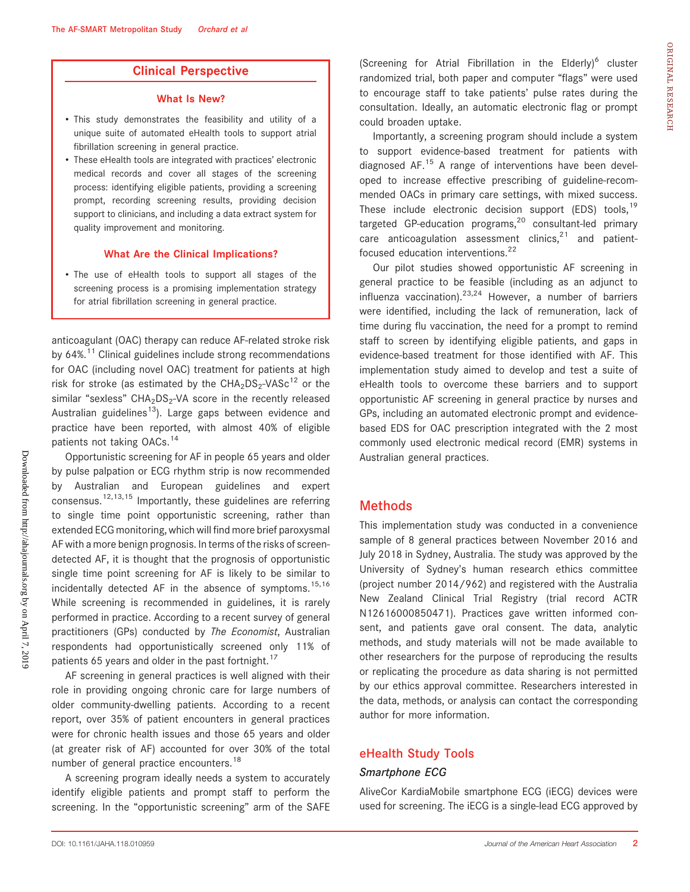## Clinical Perspective

#### What Is New?

- This study demonstrates the feasibility and utility of a unique suite of automated eHealth tools to support atrial fibrillation screening in general practice.
- These eHealth tools are integrated with practices' electronic medical records and cover all stages of the screening process: identifying eligible patients, providing a screening prompt, recording screening results, providing decision support to clinicians, and including a data extract system for quality improvement and monitoring.

#### What Are the Clinical Implications?

• The use of eHealth tools to support all stages of the screening process is a promising implementation strategy for atrial fibrillation screening in general practice.

anticoagulant (OAC) therapy can reduce AF-related stroke risk by 64%.<sup>11</sup> Clinical guidelines include strong recommendations for OAC (including novel OAC) treatment for patients at high risk for stroke (as estimated by the  $CHA<sub>2</sub>DS<sub>2</sub>-VASc<sup>12</sup>$  or the similar "sexless"  $CHA<sub>2</sub>DS<sub>2</sub>-VA$  score in the recently released Australian guidelines<sup>13</sup>). Large gaps between evidence and practice have been reported, with almost 40% of eligible patients not taking OACs.<sup>14</sup>

Opportunistic screening for AF in people 65 years and older by pulse palpation or ECG rhythm strip is now recommended by Australian and European guidelines and expert consensus.12,13,15 Importantly, these guidelines are referring to single time point opportunistic screening, rather than extended ECG monitoring, which will find more brief paroxysmal AF with a more benign prognosis. In terms of the risks of screendetected AF, it is thought that the prognosis of opportunistic single time point screening for AF is likely to be similar to incidentally detected AF in the absence of symptoms.<sup>15,16</sup> While screening is recommended in guidelines, it is rarely performed in practice. According to a recent survey of general practitioners (GPs) conducted by The Economist, Australian respondents had opportunistically screened only 11% of patients 65 years and older in the past fortnight.<sup>17</sup>

AF screening in general practices is well aligned with their role in providing ongoing chronic care for large numbers of older community-dwelling patients. According to a recent report, over 35% of patient encounters in general practices were for chronic health issues and those 65 years and older (at greater risk of AF) accounted for over 30% of the total number of general practice encounters.<sup>18</sup>

A screening program ideally needs a system to accurately identify eligible patients and prompt staff to perform the screening. In the "opportunistic screening" arm of the SAFE (Screening for Atrial Fibrillation in the Elderly)<sup>6</sup> cluster randomized trial, both paper and computer "flags" were used to encourage staff to take patients' pulse rates during the consultation. Ideally, an automatic electronic flag or prompt could broaden uptake.

Importantly, a screening program should include a system to support evidence-based treatment for patients with diagnosed  $AF<sup>15</sup>$  A range of interventions have been developed to increase effective prescribing of guideline-recommended OACs in primary care settings, with mixed success. These include electronic decision support (EDS) tools,  $19$ targeted GP-education programs,<sup>20</sup> consultant-led primary care anticoagulation assessment clinics, $21$  and patientfocused education interventions.<sup>22</sup>

Our pilot studies showed opportunistic AF screening in general practice to be feasible (including as an adjunct to influenza vaccination). $23,24$  However, a number of barriers were identified, including the lack of remuneration, lack of time during flu vaccination, the need for a prompt to remind staff to screen by identifying eligible patients, and gaps in evidence-based treatment for those identified with AF. This implementation study aimed to develop and test a suite of eHealth tools to overcome these barriers and to support opportunistic AF screening in general practice by nurses and GPs, including an automated electronic prompt and evidencebased EDS for OAC prescription integrated with the 2 most commonly used electronic medical record (EMR) systems in Australian general practices.

## Methods

This implementation study was conducted in a convenience sample of 8 general practices between November 2016 and July 2018 in Sydney, Australia. The study was approved by the University of Sydney's human research ethics committee (project number 2014/962) and registered with the Australia New Zealand Clinical Trial Registry (trial record ACTR N12616000850471). Practices gave written informed consent, and patients gave oral consent. The data, analytic methods, and study materials will not be made available to other researchers for the purpose of reproducing the results or replicating the procedure as data sharing is not permitted by our ethics approval committee. Researchers interested in the data, methods, or analysis can contact the corresponding author for more information.

#### eHealth Study Tools

#### Smartphone ECG

AliveCor KardiaMobile smartphone ECG (iECG) devices were used for screening. The iECG is a single-lead ECG approved by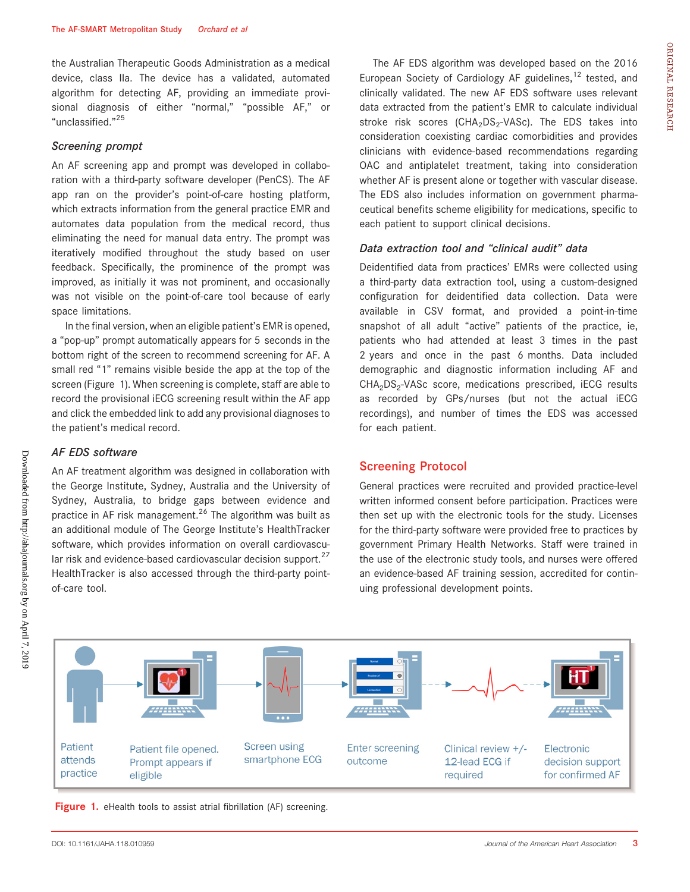the Australian Therapeutic Goods Administration as a medical device, class IIa. The device has a validated, automated algorithm for detecting AF, providing an immediate provisional diagnosis of either "normal," "possible AF," or "unclassified." 25

#### Screening prompt

An AF screening app and prompt was developed in collaboration with a third-party software developer (PenCS). The AF app ran on the provider's point-of-care hosting platform, which extracts information from the general practice EMR and automates data population from the medical record, thus eliminating the need for manual data entry. The prompt was iteratively modified throughout the study based on user feedback. Specifically, the prominence of the prompt was improved, as initially it was not prominent, and occasionally was not visible on the point-of-care tool because of early space limitations.

In the final version, when an eligible patient's EMR is opened, a "pop-up" prompt automatically appears for 5 seconds in the bottom right of the screen to recommend screening for AF. A small red "1" remains visible beside the app at the top of the screen (Figure 1). When screening is complete, staff are able to record the provisional iECG screening result within the AF app and click the embedded link to add any provisional diagnoses to the patient's medical record.

## AF EDS software

An AF treatment algorithm was designed in collaboration with the George Institute, Sydney, Australia and the University of Sydney, Australia, to bridge gaps between evidence and practice in AF risk management.<sup>26</sup> The algorithm was built as an additional module of The George Institute's HealthTracker software, which provides information on overall cardiovascular risk and evidence-based cardiovascular decision support.<sup>27</sup> HealthTracker is also accessed through the third-party pointof-care tool.

The AF EDS algorithm was developed based on the 2016 European Society of Cardiology AF guidelines,  $12$  tested, and clinically validated. The new AF EDS software uses relevant data extracted from the patient's EMR to calculate individual stroke risk scores (CHA<sub>2</sub>DS<sub>2</sub>-VASc). The EDS takes into consideration coexisting cardiac comorbidities and provides clinicians with evidence-based recommendations regarding OAC and antiplatelet treatment, taking into consideration whether AF is present alone or together with vascular disease. The EDS also includes information on government pharmaceutical benefits scheme eligibility for medications, specific to each patient to support clinical decisions.

# Data extraction tool and "clinical audit" data

Deidentified data from practices' EMRs were collected using a third-party data extraction tool, using a custom-designed configuration for deidentified data collection. Data were available in CSV format, and provided a point-in-time snapshot of all adult "active" patients of the practice, ie, patients who had attended at least 3 times in the past 2 years and once in the past 6 months. Data included demographic and diagnostic information including AF and CHA<sub>2</sub>DS<sub>2</sub>-VASc score, medications prescribed, iECG results as recorded by GPs/nurses (but not the actual iECG recordings), and number of times the EDS was accessed for each patient.

#### Screening Protocol

General practices were recruited and provided practice-level written informed consent before participation. Practices were then set up with the electronic tools for the study. Licenses for the third-party software were provided free to practices by government Primary Health Networks. Staff were trained in the use of the electronic study tools, and nurses were offered an evidence-based AF training session, accredited for continuing professional development points.



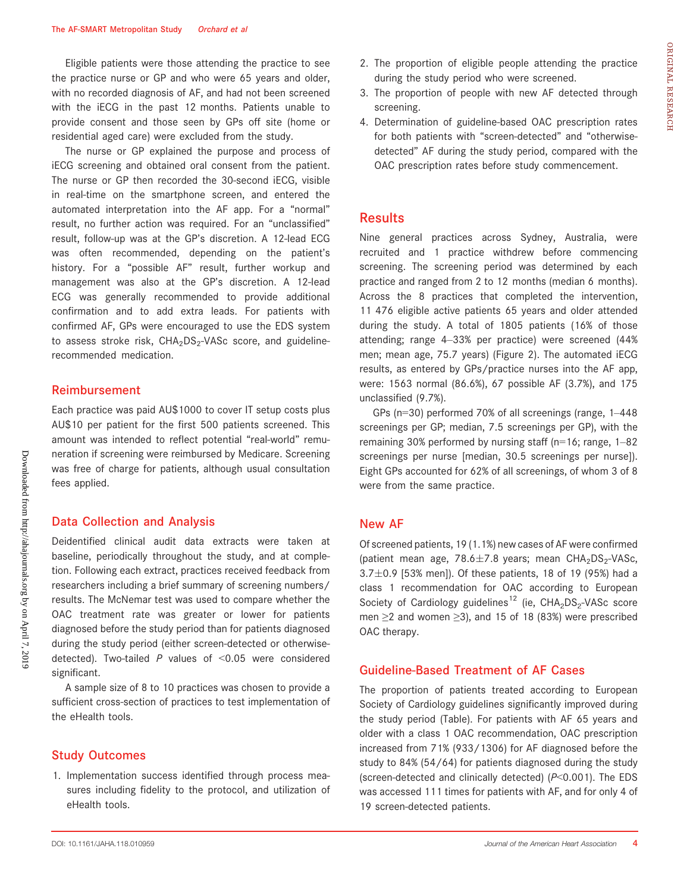Eligible patients were those attending the practice to see the practice nurse or GP and who were 65 years and older, with no recorded diagnosis of AF, and had not been screened with the iECG in the past 12 months. Patients unable to provide consent and those seen by GPs off site (home or residential aged care) were excluded from the study.

The nurse or GP explained the purpose and process of iECG screening and obtained oral consent from the patient. The nurse or GP then recorded the 30-second iECG, visible in real-time on the smartphone screen, and entered the automated interpretation into the AF app. For a "normal" result, no further action was required. For an "unclassified" result, follow-up was at the GP's discretion. A 12-lead ECG was often recommended, depending on the patient's history. For a "possible AF" result, further workup and management was also at the GP's discretion. A 12-lead ECG was generally recommended to provide additional confirmation and to add extra leads. For patients with confirmed AF, GPs were encouraged to use the EDS system to assess stroke risk,  $CHA<sub>2</sub>DS<sub>2</sub>-VASC score, and guideline$ recommended medication.

## Reimbursement

Each practice was paid AU\$1000 to cover IT setup costs plus AU\$10 per patient for the first 500 patients screened. This amount was intended to reflect potential "real-world" remuneration if screening were reimbursed by Medicare. Screening was free of charge for patients, although usual consultation fees applied.

#### Data Collection and Analysis

Deidentified clinical audit data extracts were taken at baseline, periodically throughout the study, and at completion. Following each extract, practices received feedback from researchers including a brief summary of screening numbers/ results. The McNemar test was used to compare whether the OAC treatment rate was greater or lower for patients diagnosed before the study period than for patients diagnosed during the study period (either screen-detected or otherwisedetected). Two-tailed  $P$  values of <0.05 were considered significant.

A sample size of 8 to 10 practices was chosen to provide a sufficient cross-section of practices to test implementation of the eHealth tools.

## Study Outcomes

1. Implementation success identified through process measures including fidelity to the protocol, and utilization of eHealth tools.

- 3. The proportion of people with new AF detected through screening.
- 4. Determination of guideline-based OAC prescription rates for both patients with "screen-detected" and "otherwisedetected" AF during the study period, compared with the OAC prescription rates before study commencement.

## Results

Nine general practices across Sydney, Australia, were recruited and 1 practice withdrew before commencing screening. The screening period was determined by each practice and ranged from 2 to 12 months (median 6 months). Across the 8 practices that completed the intervention, 11 476 eligible active patients 65 years and older attended during the study. A total of 1805 patients (16% of those attending; range 4–33% per practice) were screened (44% men; mean age, 75.7 years) (Figure 2). The automated iECG results, as entered by GPs/practice nurses into the AF app, were: 1563 normal (86.6%), 67 possible AF (3.7%), and 175 unclassified (9.7%).

GPs (n=30) performed 70% of all screenings (range, 1–448 screenings per GP; median, 7.5 screenings per GP), with the remaining 30% performed by nursing staff (n=16; range, 1–82 screenings per nurse [median, 30.5 screenings per nurse]). Eight GPs accounted for 62% of all screenings, of whom 3 of 8 were from the same practice.

## New AF

Of screened patients, 19 (1.1%) new cases of AF were confirmed (patient mean age, 78.6 $\pm$ 7.8 years; mean CHA<sub>2</sub>DS<sub>2</sub>-VASc,  $3.7\pm0.9$  [53% men]). Of these patients, 18 of 19 (95%) had a class 1 recommendation for OAC according to European Society of Cardiology guidelines<sup>12</sup> (ie, CHA<sub>2</sub>DS<sub>2</sub>-VASc score men ≥2 and women ≥3), and 15 of 18 (83%) were prescribed OAC therapy.

## Guideline-Based Treatment of AF Cases

The proportion of patients treated according to European Society of Cardiology guidelines significantly improved during the study period (Table). For patients with AF 65 years and older with a class 1 OAC recommendation, OAC prescription increased from 71% (933/1306) for AF diagnosed before the study to 84% (54/64) for patients diagnosed during the study (screen-detected and clinically detected)  $(P< 0.001)$ . The EDS was accessed 111 times for patients with AF, and for only 4 of 19 screen-detected patients.

ORIGINAL

RESEARCH

ORIGINAL RESEARCH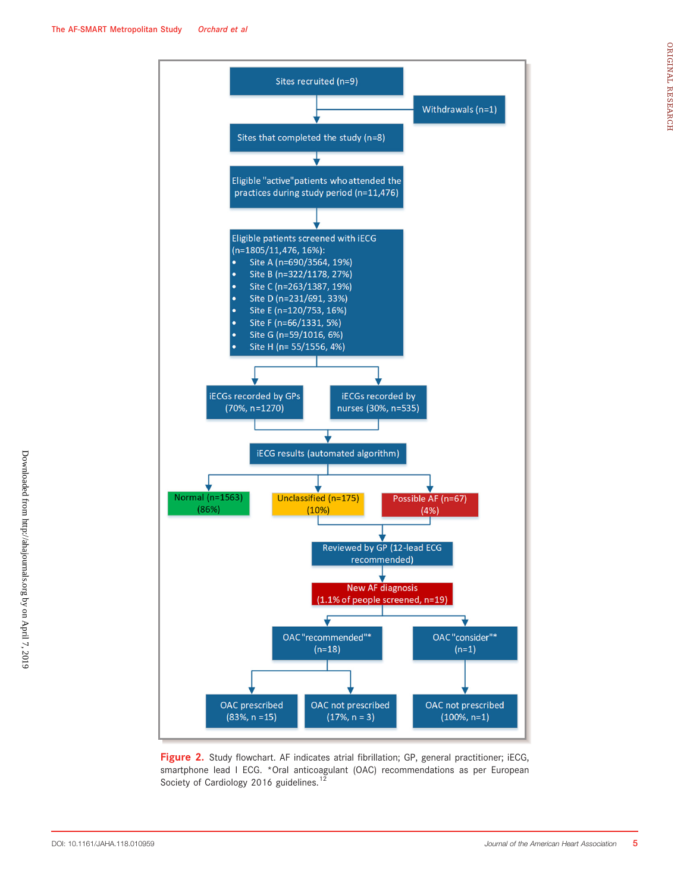

Figure 2. Study flowchart. AF indicates atrial fibrillation; GP, general practitioner; iECG, smartphone lead I ECG. \*Oral anticoagulant (OAC) recommendations as per European Society of Cardiology 2016 guidelines.<sup>12</sup>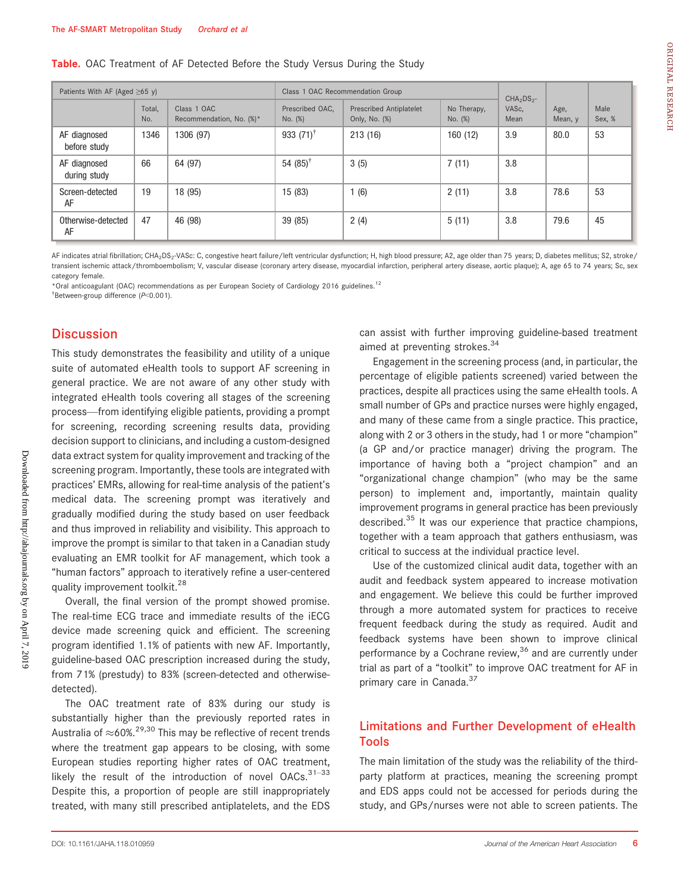#### Table. OAC Treatment of AF Detected Before the Study Versus During the Study

| Patients With AF (Aged $\geq 65$ y) |               |                                         | Class 1 OAC Recommendation Group |                                                 |                        | CHA <sub>2</sub> DS <sub>2</sub> |                 |                |
|-------------------------------------|---------------|-----------------------------------------|----------------------------------|-------------------------------------------------|------------------------|----------------------------------|-----------------|----------------|
|                                     | Total,<br>No. | Class 1 OAC<br>Recommendation, No. (%)* | Prescribed OAC,<br>No. (%)       | <b>Prescribed Antiplatelet</b><br>Only, No. (%) | No Therapy,<br>No. (%) | VASc,<br>Mean                    | Age,<br>Mean, y | Male<br>Sex, % |
| AF diagnosed<br>before study        | 1346          | 1306 (97)                               | 933 $(71)$ <sup>†</sup>          | 213(16)                                         | 160(12)                | 3.9                              | 80.0            | 53             |
| AF diagnosed<br>during study        | 66            | 64 (97)                                 | 54 $(85)$ <sup>†</sup>           | 3(5)                                            | 7(11)                  | 3.8                              |                 |                |
| Screen-detected<br>AF               | 19            | 18 (95)                                 | 15(83)                           | (6)                                             | 2(11)                  | 3.8                              | 78.6            | 53             |
| Otherwise-detected<br>AF            | 47            | 46 (98)                                 | 39 (85)                          | 2(4)                                            | 5(11)                  | 3.8                              | 79.6            | 45             |

AF indicates atrial fibrillation; CHA<sub>2</sub>DS<sub>2</sub>-VASc: C, congestive heart failure/left ventricular dysfunction; H, high blood pressure; A2, age older than 75 years; D, diabetes mellitus; S2, stroke/ transient ischemic attack/thromboembolism; V, vascular disease (coronary artery disease, myocardial infarction, peripheral artery disease, aortic plaque); A, age 65 to 74 years; Sc, sex category female.

\*Oral anticoagulant (OAC) recommendations as per European Society of Cardiology 2016 guidelines.<sup>12</sup>

† Between-group difference (P<0.001).

# **Discussion**

This study demonstrates the feasibility and utility of a unique suite of automated eHealth tools to support AF screening in general practice. We are not aware of any other study with integrated eHealth tools covering all stages of the screening process—from identifying eligible patients, providing a prompt for screening, recording screening results data, providing decision support to clinicians, and including a custom-designed data extract system for quality improvement and tracking of the screening program. Importantly, these tools are integrated with practices' EMRs, allowing for real-time analysis of the patient's medical data. The screening prompt was iteratively and gradually modified during the study based on user feedback and thus improved in reliability and visibility. This approach to improve the prompt is similar to that taken in a Canadian study evaluating an EMR toolkit for AF management, which took a "human factors" approach to iteratively refine a user-centered quality improvement toolkit.<sup>28</sup>

Overall, the final version of the prompt showed promise. The real-time ECG trace and immediate results of the iECG device made screening quick and efficient. The screening program identified 1.1% of patients with new AF. Importantly, guideline-based OAC prescription increased during the study, from 71% (prestudy) to 83% (screen-detected and otherwisedetected).

The OAC treatment rate of 83% during our study is substantially higher than the previously reported rates in Australia of  $\approx$  60%.<sup>29,30</sup> This may be reflective of recent trends where the treatment gap appears to be closing, with some European studies reporting higher rates of OAC treatment, likely the result of the introduction of novel  $OACs$ .  $31-33$ Despite this, a proportion of people are still inappropriately treated, with many still prescribed antiplatelets, and the EDS can assist with further improving guideline-based treatment aimed at preventing strokes.<sup>34</sup>

Engagement in the screening process (and, in particular, the percentage of eligible patients screened) varied between the practices, despite all practices using the same eHealth tools. A small number of GPs and practice nurses were highly engaged, and many of these came from a single practice. This practice, along with 2 or 3 others in the study, had 1 or more "champion" (a GP and/or practice manager) driving the program. The importance of having both a "project champion" and an "organizational change champion" (who may be the same person) to implement and, importantly, maintain quality improvement programs in general practice has been previously described.<sup>35</sup> It was our experience that practice champions, together with a team approach that gathers enthusiasm, was critical to success at the individual practice level.

Use of the customized clinical audit data, together with an audit and feedback system appeared to increase motivation and engagement. We believe this could be further improved through a more automated system for practices to receive frequent feedback during the study as required. Audit and feedback systems have been shown to improve clinical performance by a Cochrane review,<sup>36</sup> and are currently under trial as part of a "toolkit" to improve OAC treatment for AF in primary care in Canada.<sup>37</sup>

# Limitations and Further Development of eHealth Tools

The main limitation of the study was the reliability of the thirdparty platform at practices, meaning the screening prompt and EDS apps could not be accessed for periods during the study, and GPs/nurses were not able to screen patients. The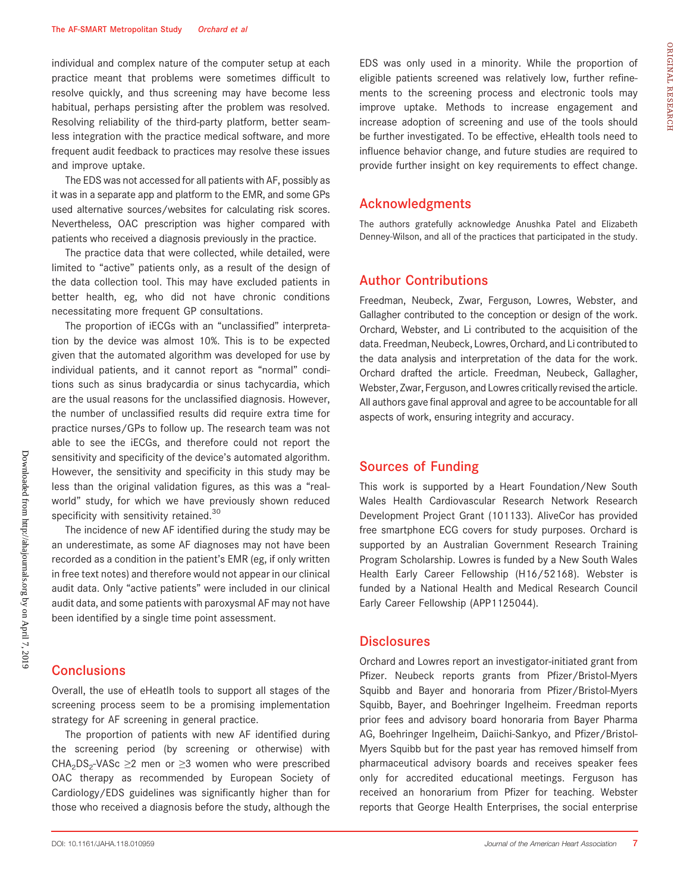individual and complex nature of the computer setup at each practice meant that problems were sometimes difficult to resolve quickly, and thus screening may have become less habitual, perhaps persisting after the problem was resolved. Resolving reliability of the third-party platform, better seamless integration with the practice medical software, and more frequent audit feedback to practices may resolve these issues and improve uptake.

The EDS was not accessed for all patients with AF, possibly as it was in a separate app and platform to the EMR, and some GPs used alternative sources/websites for calculating risk scores. Nevertheless, OAC prescription was higher compared with patients who received a diagnosis previously in the practice.

The practice data that were collected, while detailed, were limited to "active" patients only, as a result of the design of the data collection tool. This may have excluded patients in better health, eg, who did not have chronic conditions necessitating more frequent GP consultations.

The proportion of iECGs with an "unclassified" interpretation by the device was almost 10%. This is to be expected given that the automated algorithm was developed for use by individual patients, and it cannot report as "normal" conditions such as sinus bradycardia or sinus tachycardia, which are the usual reasons for the unclassified diagnosis. However, the number of unclassified results did require extra time for practice nurses/GPs to follow up. The research team was not able to see the iECGs, and therefore could not report the sensitivity and specificity of the device's automated algorithm. However, the sensitivity and specificity in this study may be less than the original validation figures, as this was a "realworld" study, for which we have previously shown reduced specificity with sensitivity retained.<sup>30</sup>

The incidence of new AF identified during the study may be an underestimate, as some AF diagnoses may not have been recorded as a condition in the patient's EMR (eg, if only written in free text notes) and therefore would not appear in our clinical audit data. Only "active patients" were included in our clinical audit data, and some patients with paroxysmal AF may not have been identified by a single time point assessment.

# **Conclusions**

Overall, the use of eHeatlh tools to support all stages of the screening process seem to be a promising implementation strategy for AF screening in general practice.

The proportion of patients with new AF identified during the screening period (by screening or otherwise) with CHA<sub>2</sub>DS<sub>2</sub>-VASc  $\geq$ 2 men or  $\geq$ 3 women who were prescribed OAC therapy as recommended by European Society of Cardiology/EDS guidelines was significantly higher than for those who received a diagnosis before the study, although the EDS was only used in a minority. While the proportion of eligible patients screened was relatively low, further refinements to the screening process and electronic tools may improve uptake. Methods to increase engagement and increase adoption of screening and use of the tools should be further investigated. To be effective, eHealth tools need to influence behavior change, and future studies are required to provide further insight on key requirements to effect change.

## Acknowledgments

The authors gratefully acknowledge Anushka Patel and Elizabeth Denney-Wilson, and all of the practices that participated in the study.

# Author Contributions

Freedman, Neubeck, Zwar, Ferguson, Lowres, Webster, and Gallagher contributed to the conception or design of the work. Orchard, Webster, and Li contributed to the acquisition of the data. Freedman, Neubeck, Lowres, Orchard, and Li contributed to the data analysis and interpretation of the data for the work. Orchard drafted the article. Freedman, Neubeck, Gallagher, Webster, Zwar, Ferguson, and Lowres critically revised the article. All authors gave final approval and agree to be accountable for all aspects of work, ensuring integrity and accuracy.

# Sources of Funding

This work is supported by a Heart Foundation/New South Wales Health Cardiovascular Research Network Research Development Project Grant (101133). AliveCor has provided free smartphone ECG covers for study purposes. Orchard is supported by an Australian Government Research Training Program Scholarship. Lowres is funded by a New South Wales Health Early Career Fellowship (H16/52168). Webster is funded by a National Health and Medical Research Council Early Career Fellowship (APP1125044).

## **Disclosures**

Orchard and Lowres report an investigator-initiated grant from Pfizer. Neubeck reports grants from Pfizer/Bristol-Myers Squibb and Bayer and honoraria from Pfizer/Bristol-Myers Squibb, Bayer, and Boehringer Ingelheim. Freedman reports prior fees and advisory board honoraria from Bayer Pharma AG, Boehringer Ingelheim, Daiichi-Sankyo, and Pfizer/Bristol-Myers Squibb but for the past year has removed himself from pharmaceutical advisory boards and receives speaker fees only for accredited educational meetings. Ferguson has received an honorarium from Pfizer for teaching. Webster reports that George Health Enterprises, the social enterprise